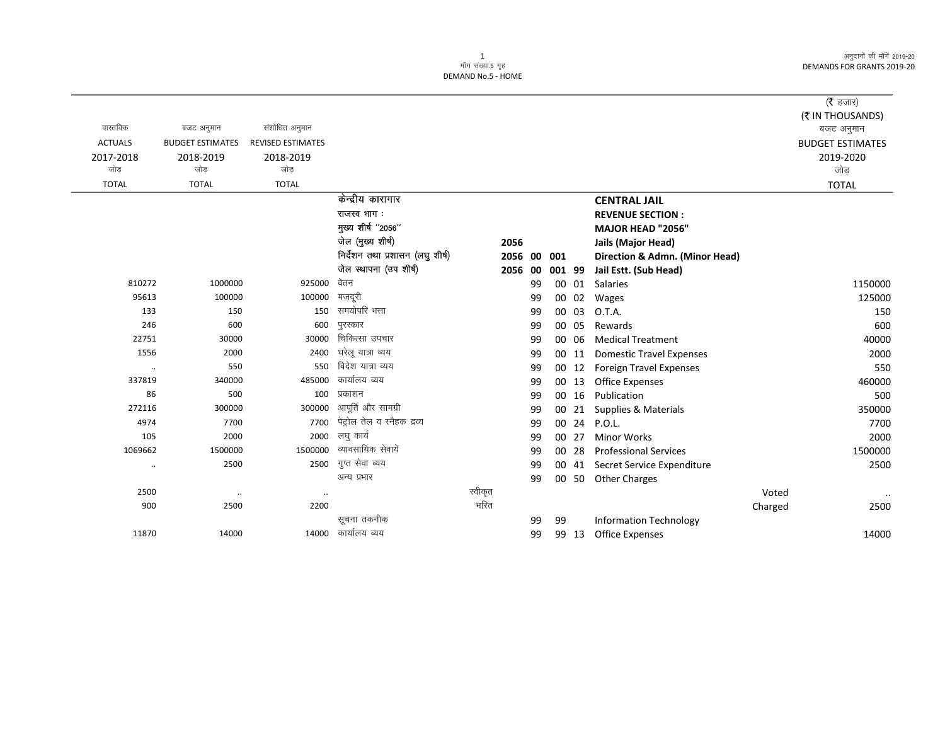अनुदानों की माँगें 2019-20 **DEMANDS FOR GRANTS 2019-20** 

## 1<br>माँग संख्या.5 गृह DEMAND No.5 - HOME

|                      |                         |                          |                                  |         |         |     |        |                                  |         | ( $\bar{\tau}$ हजार)    |
|----------------------|-------------------------|--------------------------|----------------------------------|---------|---------|-----|--------|----------------------------------|---------|-------------------------|
|                      |                         |                          |                                  |         |         |     |        |                                  |         | (₹ IN THOUSANDS)        |
| वास्तविक             | बजट अनुमान              | संशोधित अनुमान           |                                  |         |         |     |        |                                  |         | बजट अनुमान              |
| <b>ACTUALS</b>       | <b>BUDGET ESTIMATES</b> | <b>REVISED ESTIMATES</b> |                                  |         |         |     |        |                                  |         | <b>BUDGET ESTIMATES</b> |
| 2017-2018            | 2018-2019               | 2018-2019                |                                  |         |         |     |        |                                  |         | 2019-2020               |
| जोड                  | जोड                     | जोड                      |                                  |         |         |     |        |                                  |         | जोड                     |
| <b>TOTAL</b>         | <b>TOTAL</b>            | <b>TOTAL</b>             |                                  |         |         |     |        |                                  |         | <b>TOTAL</b>            |
|                      |                         |                          | केन्द्रीय कारागार                |         |         |     |        | <b>CENTRAL JAIL</b>              |         |                         |
|                      |                         |                          | राजस्व भाग:                      |         |         |     |        | <b>REVENUE SECTION:</b>          |         |                         |
|                      |                         |                          | मुख्य शीर्ष "2056"               |         |         |     |        | MAJOR HEAD "2056"                |         |                         |
|                      |                         |                          | जेल (मुख्य शीर्ष)                | 2056    |         |     |        | Jails (Major Head)               |         |                         |
|                      |                         |                          | निर्देशन तथा प्रशासन (लघु शीर्ष) |         | 2056 00 | 001 |        | Direction & Admn. (Minor Head)   |         |                         |
|                      |                         |                          | जेल स्थापना (उप शीर्ष)           |         | 2056 00 |     | 001 99 | Jail Estt. (Sub Head)            |         |                         |
| 810272               | 1000000                 | 925000                   | वेतन                             |         | 99      |     |        | 00 01 Salaries                   |         | 1150000                 |
| 95613                | 100000                  | 100000                   | मजदूरी                           |         | 99      |     | 00 02  | Wages                            |         | 125000                  |
| 133                  | 150                     | 150                      | समयोपरि भत्ता                    |         | 99      |     | 00 03  | O.T.A.                           |         | 150                     |
| 246                  | 600                     | 600                      | पुरस्कार                         |         | 99      |     | 00 05  | Rewards                          |         | 600                     |
| 22751                | 30000                   | 30000                    | चिकित्सा उपचार                   |         | 99      |     | 00 06  | <b>Medical Treatment</b>         |         | 40000                   |
| 1556                 | 2000                    | 2400                     | घरेलू यात्रा व्यय                |         | 99      |     | 00 11  | <b>Domestic Travel Expenses</b>  |         | 2000                    |
| $\ldots$             | 550                     | 550                      | विदेश यात्रा व्यय                |         | 99      |     | 00 12  | <b>Foreign Travel Expenses</b>   |         | 550                     |
| 337819               | 340000                  | 485000                   | कार्यालय व्यय                    |         | 99      |     | 00 13  | <b>Office Expenses</b>           |         | 460000                  |
| 86                   | 500                     | 100                      | प्रकाशन                          |         | 99      |     | 00 16  | Publication                      |         | 500                     |
| 272116               | 300000                  | 300000                   | आपूर्ति और सामग्री               |         | 99      |     | 00 21  | Supplies & Materials             |         | 350000                  |
| 4974                 | 7700                    | 7700                     | पेट्रोल तेल व स्नैहक द्रव्य      |         | 99      |     |        | 00 24 P.O.L.                     |         | 7700                    |
| 105                  | 2000                    | 2000                     | लघु कार्य                        |         | 99      |     | 00 27  | <b>Minor Works</b>               |         | 2000                    |
| 1069662              | 1500000                 | 1500000                  | व्यावसायिक सेवायें               |         | 99      |     | 00 28  | <b>Professional Services</b>     |         | 1500000                 |
| $\ddot{\phantom{0}}$ | 2500                    | 2500                     | गुप्त सेवा व्यय                  |         | 99      |     |        | 00 41 Secret Service Expenditure |         | 2500                    |
|                      |                         |                          | अन्य प्रभार                      |         | 99      |     | 00 50  | <b>Other Charges</b>             |         |                         |
| 2500                 | $\cdot\cdot$            | $\cdot\cdot$             |                                  | स्वीकृत |         |     |        |                                  | Voted   | $\cdot\cdot$            |
| 900                  | 2500                    | 2200                     |                                  | भरित    |         |     |        |                                  | Charged | 2500                    |
|                      |                         |                          | सूचना तकनीक                      |         | 99      | 99  |        | <b>Information Technology</b>    |         |                         |
| 11870                | 14000                   | 14000                    | कार्यालय व्यय                    |         | 99      |     | 99 13  | <b>Office Expenses</b>           |         | 14000                   |
|                      |                         |                          |                                  |         |         |     |        |                                  |         |                         |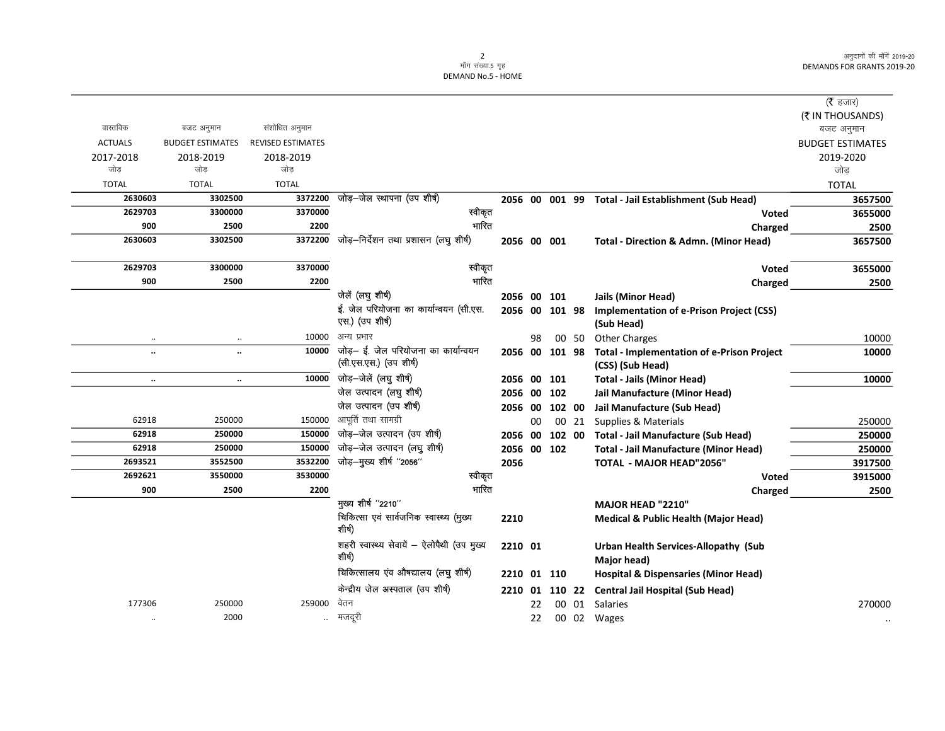अनुदानों की माँगें 2019-20 DEMANDS FOR GRANTS 2019-20

## 2<br>माँग संख्या.5 गृह DEMAND No.5 - HOME

|                         |                          |                                                      |                                                                                                                                                                                                    |              |         |                                                                                                          |                                                   | ( <b>रै</b> हजार)                                                                                                                                                                                                                                                                                      |
|-------------------------|--------------------------|------------------------------------------------------|----------------------------------------------------------------------------------------------------------------------------------------------------------------------------------------------------|--------------|---------|----------------------------------------------------------------------------------------------------------|---------------------------------------------------|--------------------------------------------------------------------------------------------------------------------------------------------------------------------------------------------------------------------------------------------------------------------------------------------------------|
|                         |                          |                                                      |                                                                                                                                                                                                    |              |         |                                                                                                          |                                                   | (₹ IN THOUSANDS)                                                                                                                                                                                                                                                                                       |
| बजट अनुमान              | संशोधित अनुमान           |                                                      |                                                                                                                                                                                                    |              |         |                                                                                                          |                                                   | बजट अनुमान                                                                                                                                                                                                                                                                                             |
| <b>BUDGET ESTIMATES</b> | <b>REVISED ESTIMATES</b> |                                                      |                                                                                                                                                                                                    |              |         |                                                                                                          |                                                   | <b>BUDGET ESTIMATES</b>                                                                                                                                                                                                                                                                                |
| 2018-2019               | 2018-2019                |                                                      |                                                                                                                                                                                                    |              |         |                                                                                                          |                                                   | 2019-2020                                                                                                                                                                                                                                                                                              |
| जोड                     | जोड                      |                                                      |                                                                                                                                                                                                    |              |         |                                                                                                          |                                                   | जोड                                                                                                                                                                                                                                                                                                    |
| <b>TOTAL</b>            | <b>TOTAL</b>             |                                                      |                                                                                                                                                                                                    |              |         |                                                                                                          |                                                   | <b>TOTAL</b>                                                                                                                                                                                                                                                                                           |
| 3302500                 | 3372200                  | जोड़–जेल स्थापना (उप शीर्ष)                          |                                                                                                                                                                                                    |              |         |                                                                                                          |                                                   | 3657500                                                                                                                                                                                                                                                                                                |
|                         | 3370000                  | स्वीकृत                                              |                                                                                                                                                                                                    |              |         |                                                                                                          | Voted                                             | 3655000                                                                                                                                                                                                                                                                                                |
| 2500                    | 2200                     |                                                      |                                                                                                                                                                                                    |              |         |                                                                                                          | Charged                                           | 2500                                                                                                                                                                                                                                                                                                   |
| 3302500                 |                          | जोड़-निर्देशन तथा प्रशासन (लघु शीर्ष)                |                                                                                                                                                                                                    |              |         |                                                                                                          | Total - Direction & Admn. (Minor Head)            | 3657500                                                                                                                                                                                                                                                                                                |
| 3300000                 | 3370000                  | स्वीकृत                                              |                                                                                                                                                                                                    |              |         |                                                                                                          | <b>Voted</b>                                      | 3655000                                                                                                                                                                                                                                                                                                |
| 2500                    | 2200                     | भारित                                                |                                                                                                                                                                                                    |              |         |                                                                                                          | Charged                                           | 2500                                                                                                                                                                                                                                                                                                   |
|                         |                          | जेलें (लघु शीर्ष)                                    |                                                                                                                                                                                                    |              |         |                                                                                                          | Jails (Minor Head)                                |                                                                                                                                                                                                                                                                                                        |
|                         |                          | ई. जेल परियोजना का कार्यान्वयन (सी.एस.               |                                                                                                                                                                                                    |              |         |                                                                                                          | <b>Implementation of e-Prison Project (CSS)</b>   |                                                                                                                                                                                                                                                                                                        |
|                         |                          | एस.) (उप शीर्ष)                                      |                                                                                                                                                                                                    |              |         |                                                                                                          | (Sub Head)                                        |                                                                                                                                                                                                                                                                                                        |
| $\ddotsc$               | 10000                    | अन्य प्रभार                                          |                                                                                                                                                                                                    | 98           |         |                                                                                                          | <b>Other Charges</b>                              | 10000                                                                                                                                                                                                                                                                                                  |
| $\ddot{\phantom{a}}$    |                          | जोड़– ई. जेल परियोजना का कार्यान्वयन                 |                                                                                                                                                                                                    |              |         |                                                                                                          | <b>Total - Implementation of e-Prison Project</b> | 10000                                                                                                                                                                                                                                                                                                  |
|                         |                          |                                                      |                                                                                                                                                                                                    |              |         |                                                                                                          | (CSS) (Sub Head)                                  |                                                                                                                                                                                                                                                                                                        |
| $\ddotsc$               |                          | जोड़–जेलें (लघु शीर्ष)                               |                                                                                                                                                                                                    |              | 101     |                                                                                                          | <b>Total - Jails (Minor Head)</b>                 | 10000                                                                                                                                                                                                                                                                                                  |
|                         |                          | जेल उत्पादन (लघु शीर्ष)                              |                                                                                                                                                                                                    |              |         |                                                                                                          | Jail Manufacture (Minor Head)                     |                                                                                                                                                                                                                                                                                                        |
|                         |                          | जेल उत्पादन (उप शीर्ष)                               |                                                                                                                                                                                                    |              |         |                                                                                                          | Jail Manufacture (Sub Head)                       |                                                                                                                                                                                                                                                                                                        |
| 250000                  | 150000                   |                                                      |                                                                                                                                                                                                    | 00           |         |                                                                                                          | Supplies & Materials                              | 250000                                                                                                                                                                                                                                                                                                 |
| 250000                  | 150000                   |                                                      |                                                                                                                                                                                                    |              |         |                                                                                                          |                                                   | 250000                                                                                                                                                                                                                                                                                                 |
| 250000                  | 150000                   |                                                      |                                                                                                                                                                                                    |              |         |                                                                                                          | <b>Total - Jail Manufacture (Minor Head)</b>      | 250000                                                                                                                                                                                                                                                                                                 |
| 3552500                 | 3532200                  | जोड़-मुख्य शीर्ष "2056"                              |                                                                                                                                                                                                    |              |         |                                                                                                          | <b>TOTAL - MAJOR HEAD"2056"</b>                   | 3917500                                                                                                                                                                                                                                                                                                |
| 3550000                 | 3530000                  | स्वीकृत                                              |                                                                                                                                                                                                    |              |         |                                                                                                          | <b>Voted</b>                                      | 3915000                                                                                                                                                                                                                                                                                                |
| 2500                    | 2200                     |                                                      |                                                                                                                                                                                                    |              |         |                                                                                                          | Charged                                           | 2500                                                                                                                                                                                                                                                                                                   |
|                         |                          | मुख्य शीर्ष "2210"                                   |                                                                                                                                                                                                    |              |         |                                                                                                          | MAJOR HEAD "2210"                                 |                                                                                                                                                                                                                                                                                                        |
|                         |                          | चिकित्सा एवं सार्वजनिक स्वास्थ्य (मुख्य<br>शीर्ष)    |                                                                                                                                                                                                    |              |         |                                                                                                          | <b>Medical &amp; Public Health (Major Head)</b>   |                                                                                                                                                                                                                                                                                                        |
|                         |                          | शहरी स्वास्थ्य सेवायें - ऐलोपैथी (उप मुख्य<br>शीर्ष) |                                                                                                                                                                                                    |              |         |                                                                                                          | Urban Health Services-Allopathy (Sub              |                                                                                                                                                                                                                                                                                                        |
|                         |                          |                                                      |                                                                                                                                                                                                    |              |         |                                                                                                          |                                                   |                                                                                                                                                                                                                                                                                                        |
|                         |                          | केन्द्रीय जेल अस्पताल (उप शीर्ष)                     |                                                                                                                                                                                                    |              |         |                                                                                                          |                                                   |                                                                                                                                                                                                                                                                                                        |
| 250000                  | 259000                   | वेतन                                                 |                                                                                                                                                                                                    | 22           |         |                                                                                                          | Salaries                                          | 270000                                                                                                                                                                                                                                                                                                 |
| 2000                    | $\ddotsc$                | मजदूरी                                               |                                                                                                                                                                                                    | 22           |         |                                                                                                          |                                                   |                                                                                                                                                                                                                                                                                                        |
|                         | 3300000                  |                                                      | भारित<br>3372200<br>10000<br>(सी.एस.एस.) (उप शीर्ष)<br>10000<br>आपूर्ति तथा सामग्री<br>जोड़–जेल उत्पादन (उप शीर्ष)<br>जोड़-जेल उत्पादन (लघु शीर्ष)<br>भारित<br>चिकित्सालय एंव औषद्यालय (लघु शीर्ष) | 2056<br>2210 | 2210 01 | 2056 00 001<br>2056 00 101<br>2056 00<br>2056 00 102<br>2056 00<br>2056 00<br>2056 00 102<br>2210 01 110 | 00 50                                             | 2056 00 001 99 Total - Jail Establishment (Sub Head)<br>2056 00 101 98<br>2056 00 101 98<br>102 00<br>00 21<br>102 00 Total - Jail Manufacture (Sub Head)<br>Major head)<br><b>Hospital &amp; Dispensaries (Minor Head)</b><br>2210 01 110 22 Central Jail Hospital (Sub Head)<br>00 01<br>00 02 Wages |